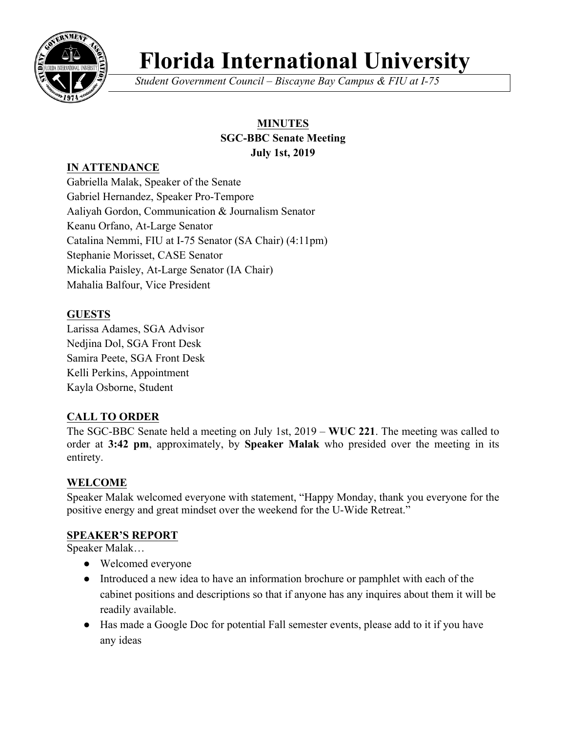

# **Florida International University**

*Student Government Council – Biscayne Bay Campus & FIU at I-75*

# **MINUTES SGC-BBC Senate Meeting July 1st, 2019**

# **IN ATTENDANCE**

Gabriella Malak, Speaker of the Senate Gabriel Hernandez, Speaker Pro-Tempore Aaliyah Gordon, Communication & Journalism Senator Keanu Orfano, At-Large Senator Catalina Nemmi, FIU at I-75 Senator (SA Chair) (4:11pm) Stephanie Morisset, CASE Senator Mickalia Paisley, At-Large Senator (IA Chair) Mahalia Balfour, Vice President

# **GUESTS**

Larissa Adames, SGA Advisor Nedjina Dol, SGA Front Desk Samira Peete, SGA Front Desk Kelli Perkins, Appointment Kayla Osborne, Student

# **CALL TO ORDER**

The SGC-BBC Senate held a meeting on July 1st, 2019 – **WUC 221**. The meeting was called to order at **3:42 pm**, approximately, by **Speaker Malak** who presided over the meeting in its entirety.

## **WELCOME**

Speaker Malak welcomed everyone with statement, "Happy Monday, thank you everyone for the positive energy and great mindset over the weekend for the U-Wide Retreat."

#### **SPEAKER'S REPORT**

Speaker Malak…

- Welcomed everyone
- Introduced a new idea to have an information brochure or pamphlet with each of the cabinet positions and descriptions so that if anyone has any inquires about them it will be readily available.
- Has made a Google Doc for potential Fall semester events, please add to it if you have any ideas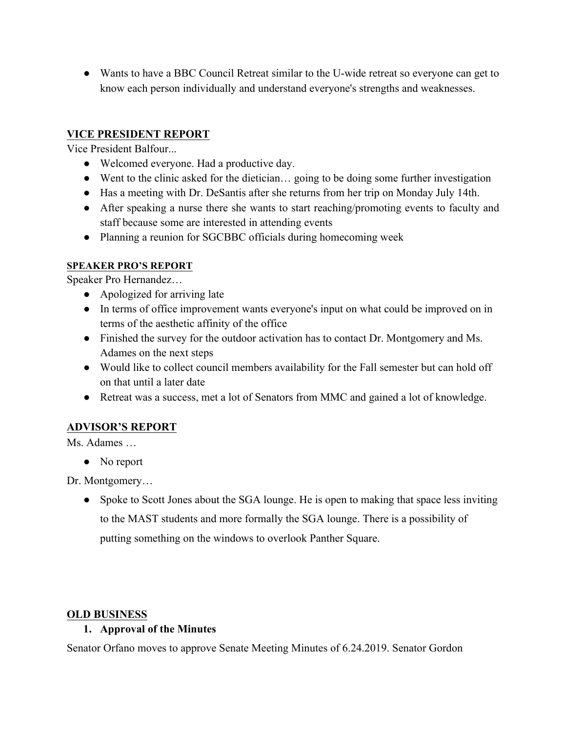● Wants to have a BBC Council Retreat similar to the U-wide retreat so everyone can get to know each person individually and understand everyone's strengths and weaknesses.

### **VICE PRESIDENT REPORT**

Vice President Balfour...

- Welcomed everyone. Had a productive day.
- Went to the clinic asked for the dietician… going to be doing some further investigation
- Has a meeting with Dr. DeSantis after she returns from her trip on Monday July 14th.
- After speaking a nurse there she wants to start reaching/promoting events to faculty and staff because some are interested in attending events
- Planning a reunion for SGCBBC officials during homecoming week

#### **SPEAKER PRO'S REPORT**

Speaker Pro Hernandez…

- Apologized for arriving late
- In terms of office improvement wants everyone's input on what could be improved on in terms of the aesthetic affinity of the office
- Finished the survey for the outdoor activation has to contact Dr. Montgomery and Ms. Adames on the next steps
- Would like to collect council members availability for the Fall semester but can hold off on that until a later date
- Retreat was a success, met a lot of Senators from MMC and gained a lot of knowledge.

## **ADVISOR'S REPORT**

Ms. Adames …

• No report

Dr. Montgomery…

• Spoke to Scott Jones about the SGA lounge. He is open to making that space less inviting to the MAST students and more formally the SGA lounge. There is a possibility of putting something on the windows to overlook Panther Square.

#### **OLD BUSINESS**

#### **1. Approval of the Minutes**

Senator Orfano moves to approve Senate Meeting Minutes of 6.24.2019. Senator Gordon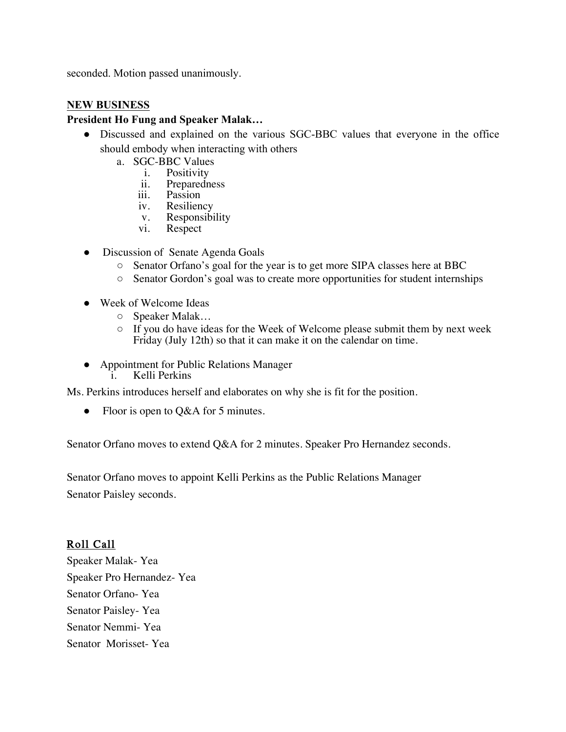seconded. Motion passed unanimously.

#### **NEW BUSINESS**

#### **President Ho Fung and Speaker Malak…**

- Discussed and explained on the various SGC-BBC values that everyone in the office should embody when interacting with others
	- a. SGC-BBC Values<br>i. Positivity
		- i. Positivity<br>ii. Preparedne
			- ii. Preparedness<br>iii. Passion
			- iii. Passion<br>iv. Resiliem
			- Resiliency
			- v. Responsibility<br>vi. Respect
			- Respect
- Discussion of Senate Agenda Goals
	- Senator Orfano's goal for the year is to get more SIPA classes here at BBC
	- Senator Gordon's goal was to create more opportunities for student internships
- Week of Welcome Ideas
	- Speaker Malak…
	- $\circ$  If you do have ideas for the Week of Welcome please submit them by next week Friday (July 12th) so that it can make it on the calendar on time.
- Appointment for Public Relations Manager i. Kelli Perkins

Ms. Perkins introduces herself and elaborates on why she is fit for the position.

Floor is open to  $Q&A$  for 5 minutes.

Senator Orfano moves to extend Q&A for 2 minutes. Speaker Pro Hernandez seconds.

Senator Orfano moves to appoint Kelli Perkins as the Public Relations Manager Senator Paisley seconds.

## Roll Call

Speaker Malak- Yea Speaker Pro Hernandez- Yea Senator Orfano- Yea Senator Paisley- Yea Senator Nemmi- Yea Senator Morisset- Yea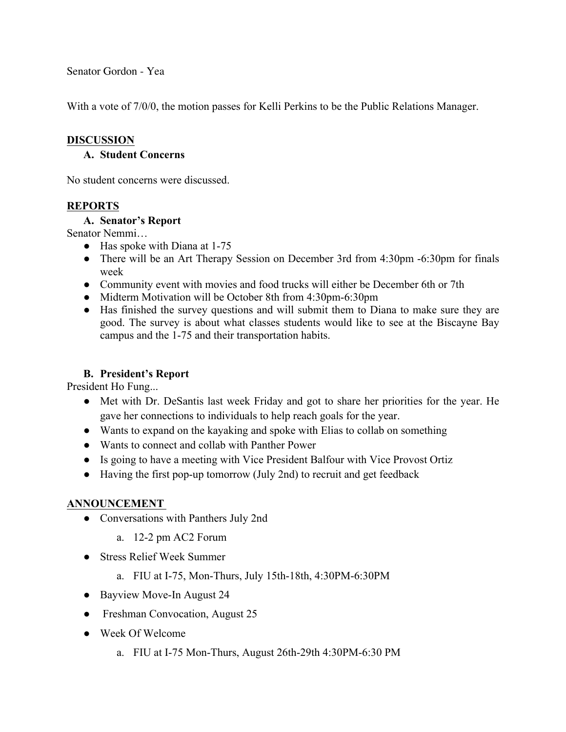Senator Gordon - Yea

With a vote of 7/0/0, the motion passes for Kelli Perkins to be the Public Relations Manager.

#### **DISCUSSION**

#### **A. Student Concerns**

No student concerns were discussed.

#### **REPORTS**

#### **A. Senator's Report**

Senator Nemmi…

- Has spoke with Diana at 1-75
- There will be an Art Therapy Session on December 3rd from 4:30pm -6:30pm for finals week
- Community event with movies and food trucks will either be December 6th or 7th
- Midterm Motivation will be October 8th from 4:30pm-6:30pm
- Has finished the survey questions and will submit them to Diana to make sure they are good. The survey is about what classes students would like to see at the Biscayne Bay campus and the 1-75 and their transportation habits.

#### **B. President's Report**

President Ho Fung...

- Met with Dr. DeSantis last week Friday and got to share her priorities for the year. He gave her connections to individuals to help reach goals for the year.
- Wants to expand on the kayaking and spoke with Elias to collab on something
- Wants to connect and collab with Panther Power
- Is going to have a meeting with Vice President Balfour with Vice Provost Ortiz
- Having the first pop-up tomorrow (July 2nd) to recruit and get feedback

#### **ANNOUNCEMENT**

- Conversations with Panthers July 2nd
	- a. 12-2 pm AC2 Forum
- Stress Relief Week Summer
	- a. FIU at I-75, Mon-Thurs, July 15th-18th, 4:30PM-6:30PM
- Bayview Move-In August 24
- Freshman Convocation, August 25
- Week Of Welcome
	- a. FIU at I-75 Mon-Thurs, August 26th-29th 4:30PM-6:30 PM